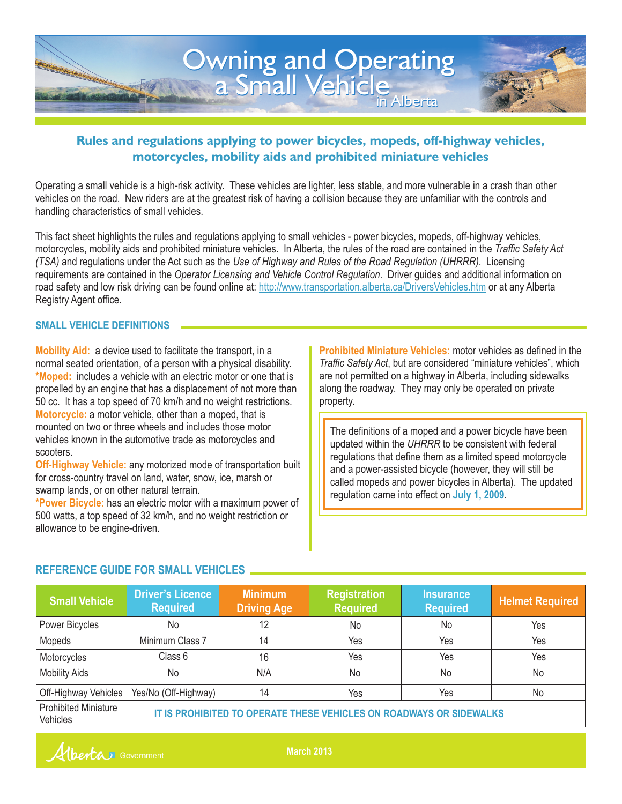

# **Rules and regulations applying to power bicycles, mopeds, off-highway vehicles, motorcycles, mobility aids and prohibited miniature vehicles**

Operating a small vehicle is a high-risk activity. These vehicles are lighter, less stable, and more vulnerable in a crash than other vehicles on the road. New riders are at the greatest risk of having a collision because they are unfamiliar with the controls and handling characteristics of small vehicles.

This fact sheet highlights the rules and regulations applying to small vehicles - power bicycles, mopeds, off-highway vehicles, motorcycles, mobility aids and prohibited miniature vehicles. In Alberta, the rules of the road are contained in the *Traffic Safety Act (TSA)* and regulations under the Act such as the *Use of Highway and Rules of the Road Regulation (UHRRR)*. Licensing requirements are contained in the *Operator Licensing and Vehicle Control Regulation*. Driver guides and additional information on road safety and low risk driving can be found online at: http://www.transportation.alberta.ca/DriversVehicles.htm or at any Alberta Registry Agent office.

#### **SMALL VEHICLE DEFINITIONS**

Mobility Aid: a device used to facilitate the transport, in a **\*Moped:** includes a vehicle with an electric motor or one that is Motorcycle: a motor vehicle, other than a moped, that is normal seated orientation, of a person with a physical disability. propelled by an engine that has a displacement of not more than 50 cc. It has a top speed of 70 km/h and no weight restrictions. mounted on two or three wheels and includes those motor vehicles known in the automotive trade as motorcycles and scooters.

Off-Highway Vehicle: any motorized mode of transportation built for cross-country travel on land, water, snow, ice, marsh or swamp lands, or on other natural terrain.

**\*Power Bicycle:** has an electric motor with a maximum power of 500 watts, a top speed of 32 km/h, and no weight restriction or allowance to be engine-driven.

**Prohibited Miniature Vehicles:** motor vehicles as defined in the *Traffic Safety Act*, but are considered "miniature vehicles", which are not permitted on a highway in Alberta, including sidewalks along the roadway. They may only be operated on private property.

The definitions of a moped and a power bicycle have been updated within the *UHRRR* to be consistent with federal regulations that define them as a limited speed motorcycle and a power-assisted bicycle (however, they will still be called mopeds and power bicycles in Alberta). The updated regulation came into effect on **July 1, 2009**.

| REFERENCE GUIDE FOR SMALL VEHICLES      |                                                                     |     |                |           |     |
|-----------------------------------------|---------------------------------------------------------------------|-----|----------------|-----------|-----|
|                                         |                                                                     |     |                |           |     |
| Power Bicycles                          | No                                                                  | 12  | No.            | No        | Yes |
| Mopeds                                  | Minimum Class 7                                                     | 14  | Yes            | Yes       | Yes |
| Motorcycles                             | Class 6                                                             | 16  | Yes            | Yes       | Yes |
| <b>Mobility Aids</b>                    | No                                                                  | N/A | N <sub>o</sub> | <b>No</b> | No. |
| Off-Highway Vehicles                    | Yes/No (Off-Highway)                                                | 14  | Yes            | Yes       | No  |
| <b>Prohibited Miniature</b><br>Vehicles | IT IS PROHIBITED TO OPERATE THESE VEHICLES ON ROADWAYS OR SIDEWALKS |     |                |           |     |

# **REFERENCE GUIDE FOR SMALL VEHICLES**

Alberta Government

**March 2013**